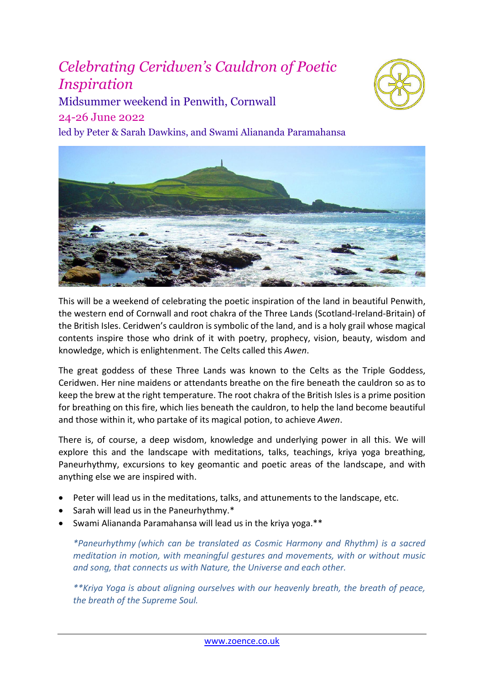# *Celebrating Ceridwen's Cauldron of Poetic Inspiration*



Midsummer weekend in Penwith, Cornwall 24-26 June 2022

led by Peter & Sarah Dawkins, and Swami Aliananda Paramahansa



This will be a weekend of celebrating the poetic inspiration of the land in beautiful Penwith, the western end of Cornwall and root chakra of the Three Lands (Scotland-Ireland-Britain) of the British Isles. Ceridwen's cauldron is symbolic of the land, and is a holy grail whose magical contents inspire those who drink of it with poetry, prophecy, vision, beauty, wisdom and knowledge, which is enlightenment. The Celts called this *Awen*.

The great goddess of these Three Lands was known to the Celts as the Triple Goddess, Ceridwen. Her nine maidens or attendants breathe on the fire beneath the cauldron so as to keep the brew at the right temperature. The root chakra of the British Isles is a prime position for breathing on this fire, which lies beneath the cauldron, to help the land become beautiful and those within it, who partake of its magical potion, to achieve *Awen*.

There is, of course, a deep wisdom, knowledge and underlying power in all this. We will explore this and the landscape with meditations, talks, teachings, kriya yoga breathing, Paneurhythmy, excursions to key geomantic and poetic areas of the landscape, and with anything else we are inspired with.

- Peter will lead us in the meditations, talks, and attunements to the landscape, etc.
- Sarah will lead us in the Paneurhythmy.\*
- Swami Aliananda Paramahansa will lead us in the kriya yoga.\*\*

*\*Paneurhythmy (which can be translated as Cosmic Harmony and Rhythm) is a sacred meditation in motion, with meaningful gestures and movements, with or without music and song, that connects us with Nature, the Universe and each other.*

*\*\*Kriya Yoga is about aligning ourselves with our heavenly breath, the breath of peace, the breath of the Supreme Soul.*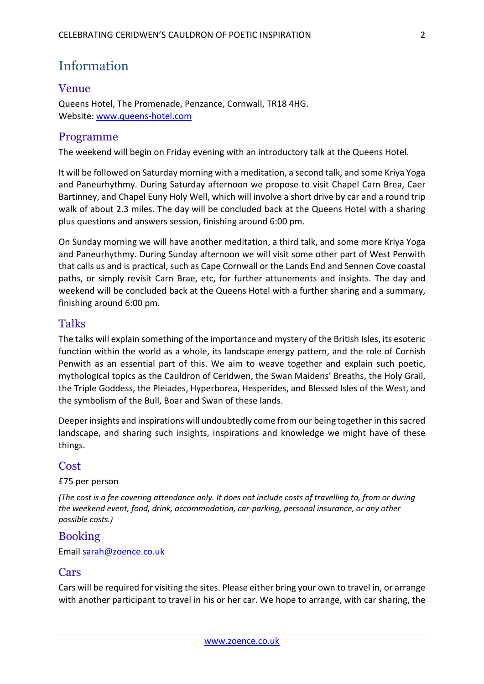# Information

# Venue

Queens Hotel, The Promenade, Penzance, Cornwall, TR18 4HG. Website: [www.queens-hotel.com](http://www.queens-hotel.com/)

# Programme

The weekend will begin on Friday evening with an introductory talk at the Queens Hotel.

It will be followed on Saturday morning with a meditation, a second talk, and some Kriya Yoga and Paneurhythmy. During Saturday afternoon we propose to visit Chapel Carn Brea, Caer Bartinney, and Chapel Euny Holy Well, which will involve a short drive by car and a round trip walk of about 2.3 miles. The day will be concluded back at the Queens Hotel with a sharing plus questions and answers session, finishing around 6:00 pm.

On Sunday morning we will have another meditation, a third talk, and some more Kriya Yoga and Paneurhythmy. During Sunday afternoon we will visit some other part of West Penwith that calls us and is practical, such as Cape Cornwall or the Lands End and Sennen Cove coastal paths, or simply revisit Carn Brae, etc, for further attunements and insights. The day and weekend will be concluded back at the Queens Hotel with a further sharing and a summary, finishing around 6:00 pm.

### Talks

The talks will explain something of the importance and mystery of the British Isles, its esoteric function within the world as a whole, its landscape energy pattern, and the role of Cornish Penwith as an essential part of this. We aim to weave together and explain such poetic, mythological topics as the Cauldron of Ceridwen, the Swan Maidens' Breaths, the Holy Grail, the Triple Goddess, the Pleiades, Hyperborea, Hesperides, and Blessed Isles of the West, and the symbolism of the Bull, Boar and Swan of these lands.

Deeper insights and inspirations will undoubtedly come from our being together in this sacred landscape, and sharing such insights, inspirations and knowledge we might have of these things.

#### Cost

£75 per person

*(The cost is a fee covering attendance only. It does not include costs of travelling to, from or during the weekend event, food, drink, accommodation, car-parking, personal insurance, or any other possible costs.)*

# Booking

Email [sarah@zoence.co.uk](mailto:sarah@zoence.co.uk)

#### Cars

Cars will be required for visiting the sites. Please either bring your own to travel in, or arrange with another participant to travel in his or her car. We hope to arrange, with car sharing, the